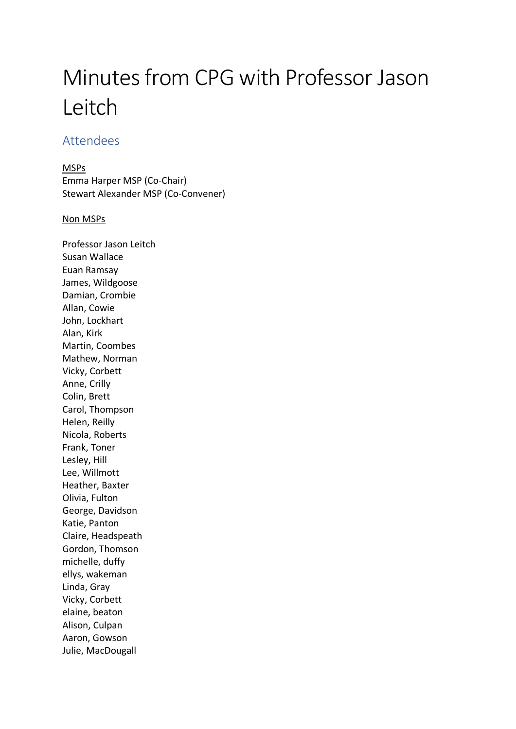# Minutes from CPG with Professor Jason Leitch

# Attendees

MSPs

Emma Harper MSP (Co-Chair) Stewart Alexander MSP (Co-Convener)

#### Non MSPs

Professor Jason Leitch Susan Wallace Euan Ramsay James, Wildgoose Damian, Crombie Allan, Cowie John, Lockhart Alan, Kirk Martin, Coombes Mathew, Norman Vicky, Corbett Anne, Crilly Colin, Brett Carol, Thompson Helen, Reilly Nicola, Roberts Frank, Toner Lesley, Hill Lee, Willmott Heather, Baxter Olivia, Fulton George, Davidson Katie, Panton Claire, Headspeath Gordon, Thomson michelle, duffy ellys, wakeman Linda, Gray Vicky, Corbett elaine, beaton Alison, Culpan Aaron, Gowson Julie, MacDougall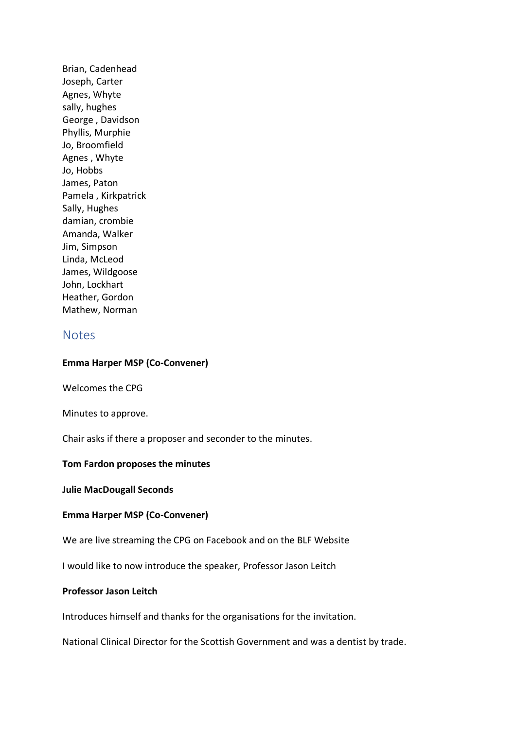Brian, Cadenhead Joseph, Carter Agnes, Whyte sally, hughes George , Davidson Phyllis, Murphie Jo, Broomfield Agnes , Whyte Jo, Hobbs James, Paton Pamela , Kirkpatrick Sally, Hughes damian, crombie Amanda, Walker Jim, Simpson Linda, McLeod James, Wildgoose John, Lockhart Heather, Gordon Mathew, Norman

## **Notes**

#### **Emma Harper MSP (Co-Convener)**

Welcomes the CPG

Minutes to approve.

Chair asks if there a proposer and seconder to the minutes.

#### **Tom Fardon proposes the minutes**

**Julie MacDougall Seconds** 

#### **Emma Harper MSP (Co-Convener)**

We are live streaming the CPG on Facebook and on the BLF Website

I would like to now introduce the speaker, Professor Jason Leitch

#### **Professor Jason Leitch**

Introduces himself and thanks for the organisations for the invitation.

National Clinical Director for the Scottish Government and was a dentist by trade.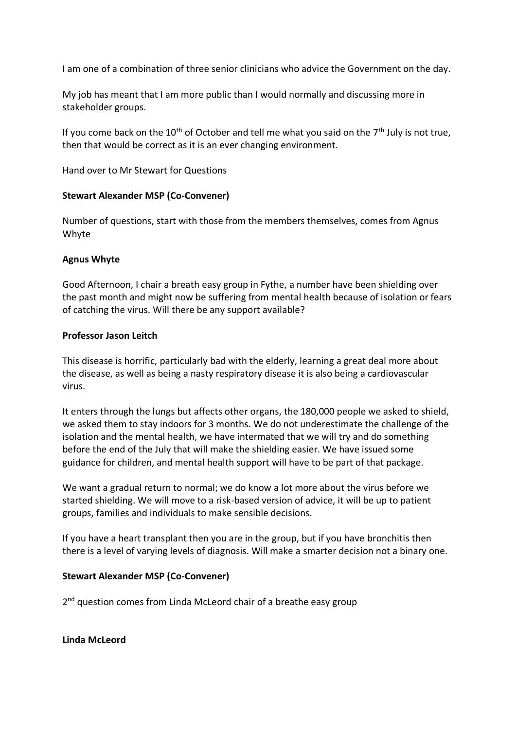I am one of a combination of three senior clinicians who advice the Government on the day.

My job has meant that I am more public than I would normally and discussing more in stakeholder groups.

If you come back on the 10<sup>th</sup> of October and tell me what you said on the 7<sup>th</sup> July is not true, then that would be correct as it is an ever changing environment.

Hand over to Mr Stewart for Questions

#### **Stewart Alexander MSP (Co-Convener)**

Number of questions, start with those from the members themselves, comes from Agnus Whyte

#### **Agnus Whyte**

Good Afternoon, I chair a breath easy group in Fythe, a number have been shielding over the past month and might now be suffering from mental health because of isolation or fears of catching the virus. Will there be any support available?

#### **Professor Jason Leitch**

This disease is horrific, particularly bad with the elderly, learning a great deal more about the disease, as well as being a nasty respiratory disease it is also being a cardiovascular virus.

It enters through the lungs but affects other organs, the 180,000 people we asked to shield, we asked them to stay indoors for 3 months. We do not underestimate the challenge of the isolation and the mental health, we have intermated that we will try and do something before the end of the July that will make the shielding easier. We have issued some guidance for children, and mental health support will have to be part of that package.

We want a gradual return to normal; we do know a lot more about the virus before we started shielding. We will move to a risk-based version of advice, it will be up to patient groups, families and individuals to make sensible decisions.

If you have a heart transplant then you are in the group, but if you have bronchitis then there is a level of varying levels of diagnosis. Will make a smarter decision not a binary one.

## **Stewart Alexander MSP (Co-Convener)**

2<sup>nd</sup> question comes from Linda McLeord chair of a breathe easy group

**Linda McLeord**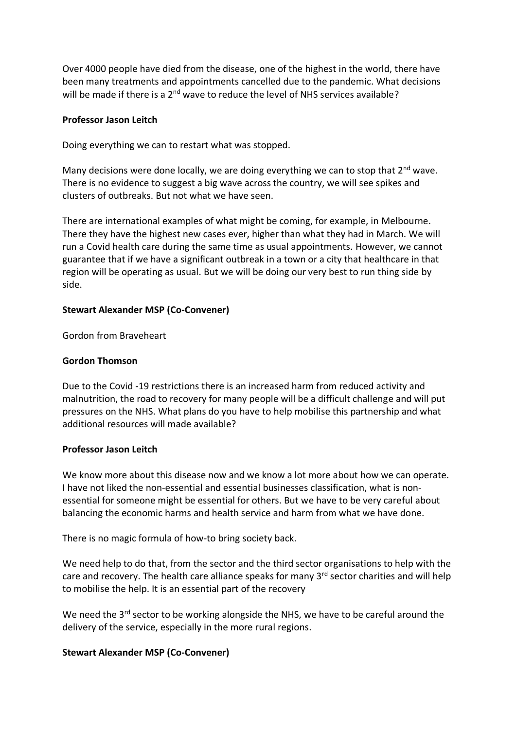Over 4000 people have died from the disease, one of the highest in the world, there have been many treatments and appointments cancelled due to the pandemic. What decisions will be made if there is a  $2<sup>nd</sup>$  wave to reduce the level of NHS services available?

#### **Professor Jason Leitch**

Doing everything we can to restart what was stopped.

Many decisions were done locally, we are doing everything we can to stop that 2<sup>nd</sup> wave. There is no evidence to suggest a big wave across the country, we will see spikes and clusters of outbreaks. But not what we have seen.

There are international examples of what might be coming, for example, in Melbourne. There they have the highest new cases ever, higher than what they had in March. We will run a Covid health care during the same time as usual appointments. However, we cannot guarantee that if we have a significant outbreak in a town or a city that healthcare in that region will be operating as usual. But we will be doing our very best to run thing side by side.

#### **Stewart Alexander MSP (Co-Convener)**

Gordon from Braveheart

#### **Gordon Thomson**

Due to the Covid -19 restrictions there is an increased harm from reduced activity and malnutrition, the road to recovery for many people will be a difficult challenge and will put pressures on the NHS. What plans do you have to help mobilise this partnership and what additional resources will made available?

#### **Professor Jason Leitch**

We know more about this disease now and we know a lot more about how we can operate. I have not liked the non-essential and essential businesses classification, what is nonessential for someone might be essential for others. But we have to be very careful about balancing the economic harms and health service and harm from what we have done.

There is no magic formula of how-to bring society back.

We need help to do that, from the sector and the third sector organisations to help with the care and recovery. The health care alliance speaks for many 3<sup>rd</sup> sector charities and will help to mobilise the help. It is an essential part of the recovery

We need the 3<sup>rd</sup> sector to be working alongside the NHS, we have to be careful around the delivery of the service, especially in the more rural regions.

## **Stewart Alexander MSP (Co-Convener)**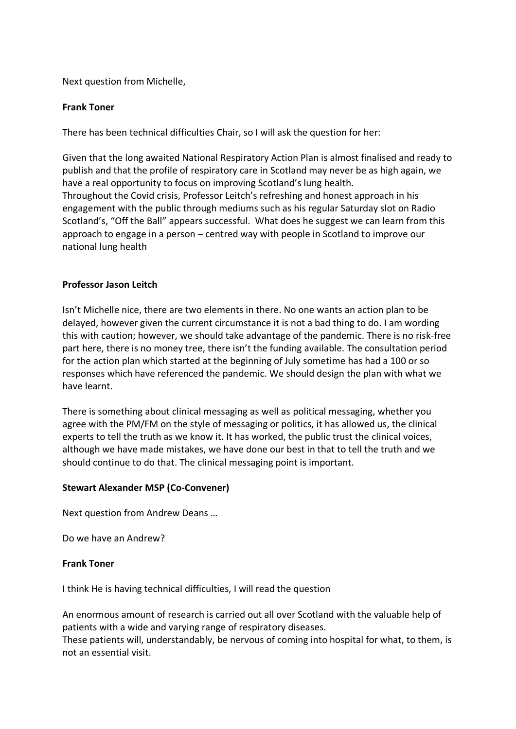Next question from Michelle,

#### **Frank Toner**

There has been technical difficulties Chair, so I will ask the question for her:

Given that the long awaited National Respiratory Action Plan is almost finalised and ready to publish and that the profile of respiratory care in Scotland may never be as high again, we have a real opportunity to focus on improving Scotland's lung health. Throughout the Covid crisis, Professor Leitch's refreshing and honest approach in his engagement with the public through mediums such as his regular Saturday slot on Radio Scotland's, "Off the Ball" appears successful. What does he suggest we can learn from this approach to engage in a person – centred way with people in Scotland to improve our national lung health

#### **Professor Jason Leitch**

Isn't Michelle nice, there are two elements in there. No one wants an action plan to be delayed, however given the current circumstance it is not a bad thing to do. I am wording this with caution; however, we should take advantage of the pandemic. There is no risk-free part here, there is no money tree, there isn't the funding available. The consultation period for the action plan which started at the beginning of July sometime has had a 100 or so responses which have referenced the pandemic. We should design the plan with what we have learnt.

There is something about clinical messaging as well as political messaging, whether you agree with the PM/FM on the style of messaging or politics, it has allowed us, the clinical experts to tell the truth as we know it. It has worked, the public trust the clinical voices, although we have made mistakes, we have done our best in that to tell the truth and we should continue to do that. The clinical messaging point is important.

#### **Stewart Alexander MSP (Co-Convener)**

Next question from Andrew Deans …

Do we have an Andrew?

#### **Frank Toner**

I think He is having technical difficulties, I will read the question

An enormous amount of research is carried out all over Scotland with the valuable help of patients with a wide and varying range of respiratory diseases. These patients will, understandably, be nervous of coming into hospital for what, to them, is not an essential visit.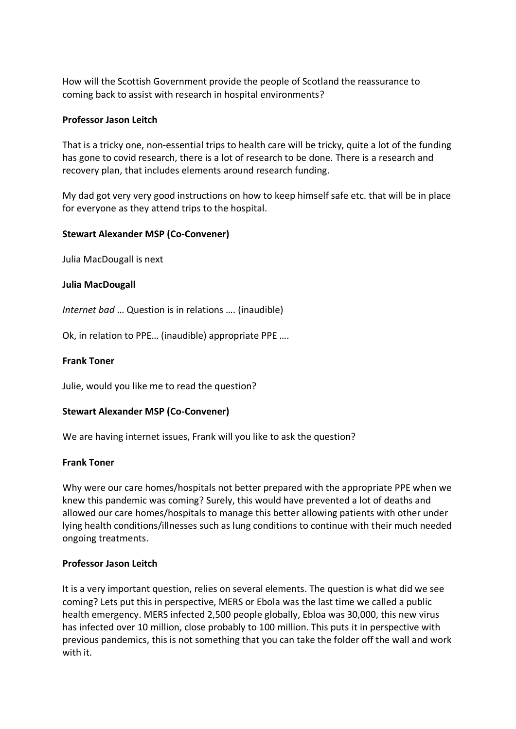How will the Scottish Government provide the people of Scotland the reassurance to coming back to assist with research in hospital environments?

#### **Professor Jason Leitch**

That is a tricky one, non-essential trips to health care will be tricky, quite a lot of the funding has gone to covid research, there is a lot of research to be done. There is a research and recovery plan, that includes elements around research funding.

My dad got very very good instructions on how to keep himself safe etc. that will be in place for everyone as they attend trips to the hospital.

#### **Stewart Alexander MSP (Co-Convener)**

Julia MacDougall is next

#### **Julia MacDougall**

*Internet bad* … Question is in relations …. (inaudible)

Ok, in relation to PPE… (inaudible) appropriate PPE ….

#### **Frank Toner**

Julie, would you like me to read the question?

#### **Stewart Alexander MSP (Co-Convener)**

We are having internet issues, Frank will you like to ask the question?

#### **Frank Toner**

Why were our care homes/hospitals not better prepared with the appropriate PPE when we knew this pandemic was coming? Surely, this would have prevented a lot of deaths and allowed our care homes/hospitals to manage this better allowing patients with other under lying health conditions/illnesses such as lung conditions to continue with their much needed ongoing treatments.

#### **Professor Jason Leitch**

It is a very important question, relies on several elements. The question is what did we see coming? Lets put this in perspective, MERS or Ebola was the last time we called a public health emergency. MERS infected 2,500 people globally, Ebloa was 30,000, this new virus has infected over 10 million, close probably to 100 million. This puts it in perspective with previous pandemics, this is not something that you can take the folder off the wall and work with it.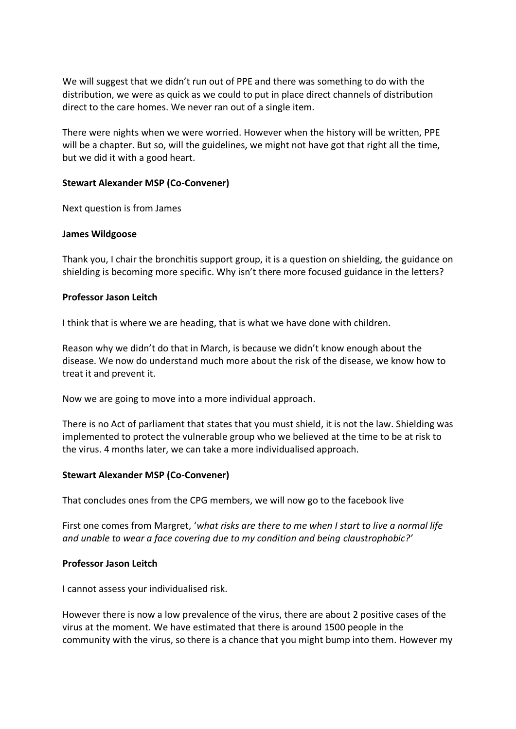We will suggest that we didn't run out of PPE and there was something to do with the distribution, we were as quick as we could to put in place direct channels of distribution direct to the care homes. We never ran out of a single item.

There were nights when we were worried. However when the history will be written, PPE will be a chapter. But so, will the guidelines, we might not have got that right all the time, but we did it with a good heart.

#### **Stewart Alexander MSP (Co-Convener)**

Next question is from James

#### **James Wildgoose**

Thank you, I chair the bronchitis support group, it is a question on shielding, the guidance on shielding is becoming more specific. Why isn't there more focused guidance in the letters?

#### **Professor Jason Leitch**

I think that is where we are heading, that is what we have done with children.

Reason why we didn't do that in March, is because we didn't know enough about the disease. We now do understand much more about the risk of the disease, we know how to treat it and prevent it.

Now we are going to move into a more individual approach.

There is no Act of parliament that states that you must shield, it is not the law. Shielding was implemented to protect the vulnerable group who we believed at the time to be at risk to the virus. 4 months later, we can take a more individualised approach.

## **Stewart Alexander MSP (Co-Convener)**

That concludes ones from the CPG members, we will now go to the facebook live

First one comes from Margret, '*what risks are there to me when I start to live a normal life and unable to wear a face covering due to my condition and being claustrophobic?'*

#### **Professor Jason Leitch**

I cannot assess your individualised risk.

However there is now a low prevalence of the virus, there are about 2 positive cases of the virus at the moment. We have estimated that there is around 1500 people in the community with the virus, so there is a chance that you might bump into them. However my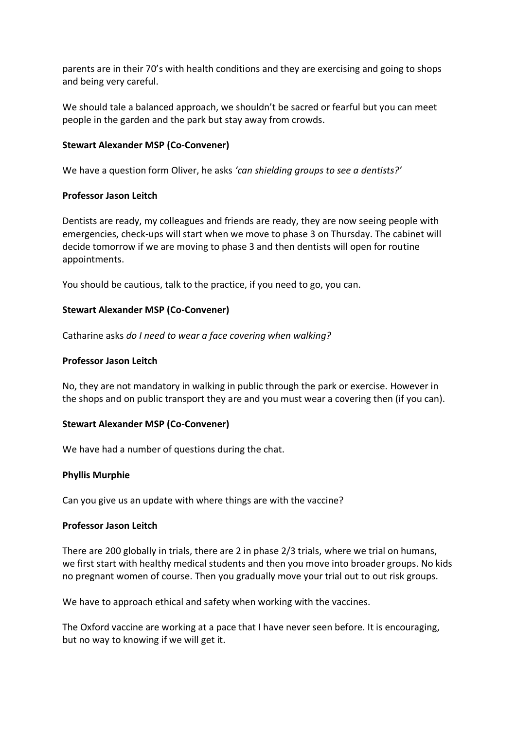parents are in their 70's with health conditions and they are exercising and going to shops and being very careful.

We should tale a balanced approach, we shouldn't be sacred or fearful but you can meet people in the garden and the park but stay away from crowds.

### **Stewart Alexander MSP (Co-Convener)**

We have a question form Oliver, he asks *'can shielding groups to see a dentists?'*

#### **Professor Jason Leitch**

Dentists are ready, my colleagues and friends are ready, they are now seeing people with emergencies, check-ups will start when we move to phase 3 on Thursday. The cabinet will decide tomorrow if we are moving to phase 3 and then dentists will open for routine appointments.

You should be cautious, talk to the practice, if you need to go, you can.

#### **Stewart Alexander MSP (Co-Convener)**

Catharine asks *do I need to wear a face covering when walking?*

#### **Professor Jason Leitch**

No, they are not mandatory in walking in public through the park or exercise. However in the shops and on public transport they are and you must wear a covering then (if you can).

## **Stewart Alexander MSP (Co-Convener)**

We have had a number of questions during the chat.

#### **Phyllis Murphie**

Can you give us an update with where things are with the vaccine?

#### **Professor Jason Leitch**

There are 200 globally in trials, there are 2 in phase 2/3 trials, where we trial on humans, we first start with healthy medical students and then you move into broader groups. No kids no pregnant women of course. Then you gradually move your trial out to out risk groups.

We have to approach ethical and safety when working with the vaccines.

The Oxford vaccine are working at a pace that I have never seen before. It is encouraging, but no way to knowing if we will get it.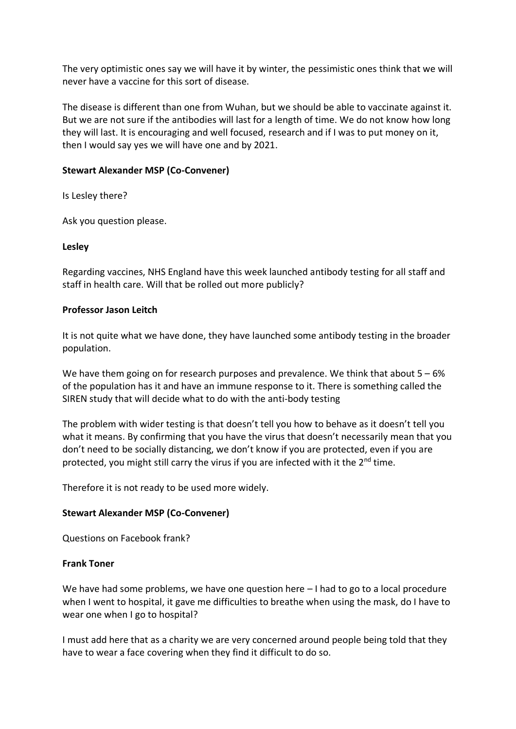The very optimistic ones say we will have it by winter, the pessimistic ones think that we will never have a vaccine for this sort of disease.

The disease is different than one from Wuhan, but we should be able to vaccinate against it. But we are not sure if the antibodies will last for a length of time. We do not know how long they will last. It is encouraging and well focused, research and if I was to put money on it, then I would say yes we will have one and by 2021.

#### **Stewart Alexander MSP (Co-Convener)**

Is Lesley there?

Ask you question please.

#### **Lesley**

Regarding vaccines, NHS England have this week launched antibody testing for all staff and staff in health care. Will that be rolled out more publicly?

#### **Professor Jason Leitch**

It is not quite what we have done, they have launched some antibody testing in the broader population.

We have them going on for research purposes and prevalence. We think that about  $5 - 6%$ of the population has it and have an immune response to it. There is something called the SIREN study that will decide what to do with the anti-body testing

The problem with wider testing is that doesn't tell you how to behave as it doesn't tell you what it means. By confirming that you have the virus that doesn't necessarily mean that you don't need to be socially distancing, we don't know if you are protected, even if you are protected, you might still carry the virus if you are infected with it the  $2^{nd}$  time.

Therefore it is not ready to be used more widely.

## **Stewart Alexander MSP (Co-Convener)**

Questions on Facebook frank?

#### **Frank Toner**

We have had some problems, we have one question here  $-1$  had to go to a local procedure when I went to hospital, it gave me difficulties to breathe when using the mask, do I have to wear one when I go to hospital?

I must add here that as a charity we are very concerned around people being told that they have to wear a face covering when they find it difficult to do so.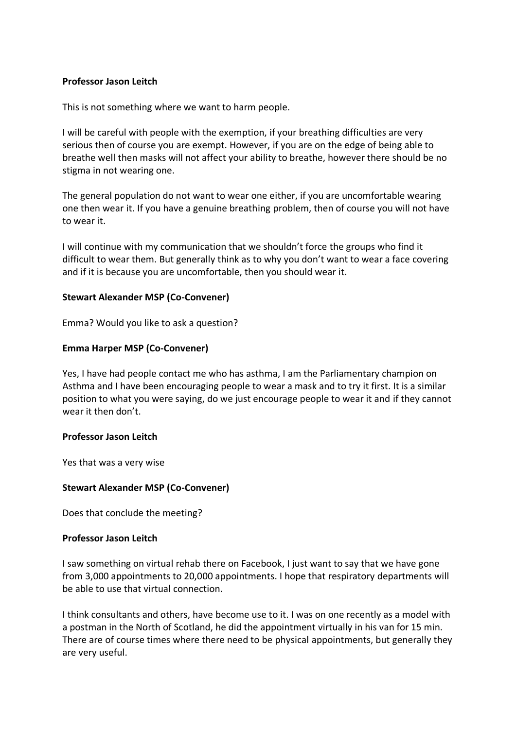#### **Professor Jason Leitch**

This is not something where we want to harm people.

I will be careful with people with the exemption, if your breathing difficulties are very serious then of course you are exempt. However, if you are on the edge of being able to breathe well then masks will not affect your ability to breathe, however there should be no stigma in not wearing one.

The general population do not want to wear one either, if you are uncomfortable wearing one then wear it. If you have a genuine breathing problem, then of course you will not have to wear it.

I will continue with my communication that we shouldn't force the groups who find it difficult to wear them. But generally think as to why you don't want to wear a face covering and if it is because you are uncomfortable, then you should wear it.

#### **Stewart Alexander MSP (Co-Convener)**

Emma? Would you like to ask a question?

## **Emma Harper MSP (Co-Convener)**

Yes, I have had people contact me who has asthma, I am the Parliamentary champion on Asthma and I have been encouraging people to wear a mask and to try it first. It is a similar position to what you were saying, do we just encourage people to wear it and if they cannot wear it then don't.

#### **Professor Jason Leitch**

Yes that was a very wise

#### **Stewart Alexander MSP (Co-Convener)**

Does that conclude the meeting?

#### **Professor Jason Leitch**

I saw something on virtual rehab there on Facebook, I just want to say that we have gone from 3,000 appointments to 20,000 appointments. I hope that respiratory departments will be able to use that virtual connection.

I think consultants and others, have become use to it. I was on one recently as a model with a postman in the North of Scotland, he did the appointment virtually in his van for 15 min. There are of course times where there need to be physical appointments, but generally they are very useful.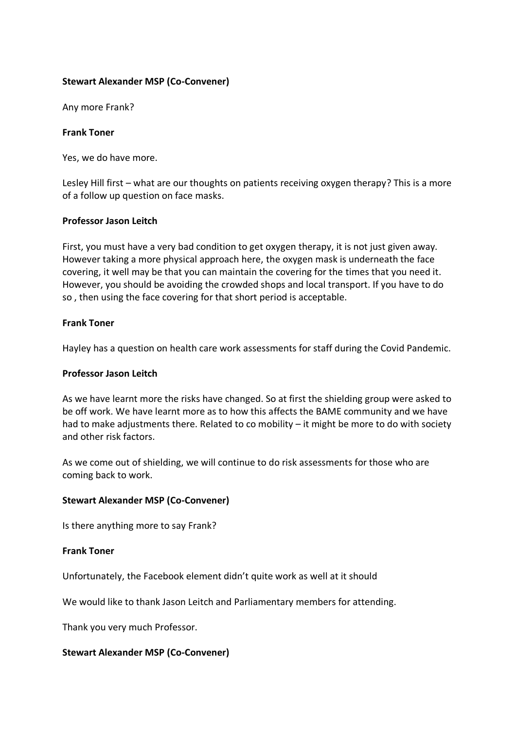#### **Stewart Alexander MSP (Co-Convener)**

Any more Frank?

#### **Frank Toner**

Yes, we do have more.

Lesley Hill first – what are our thoughts on patients receiving oxygen therapy? This is a more of a follow up question on face masks.

#### **Professor Jason Leitch**

First, you must have a very bad condition to get oxygen therapy, it is not just given away. However taking a more physical approach here, the oxygen mask is underneath the face covering, it well may be that you can maintain the covering for the times that you need it. However, you should be avoiding the crowded shops and local transport. If you have to do so , then using the face covering for that short period is acceptable.

#### **Frank Toner**

Hayley has a question on health care work assessments for staff during the Covid Pandemic.

#### **Professor Jason Leitch**

As we have learnt more the risks have changed. So at first the shielding group were asked to be off work. We have learnt more as to how this affects the BAME community and we have had to make adjustments there. Related to co mobility – it might be more to do with society and other risk factors.

As we come out of shielding, we will continue to do risk assessments for those who are coming back to work.

#### **Stewart Alexander MSP (Co-Convener)**

Is there anything more to say Frank?

#### **Frank Toner**

Unfortunately, the Facebook element didn't quite work as well at it should

We would like to thank Jason Leitch and Parliamentary members for attending.

Thank you very much Professor.

#### **Stewart Alexander MSP (Co-Convener)**